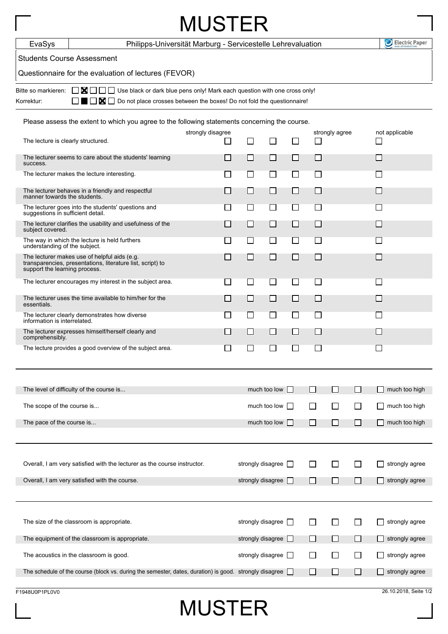| <b>MUSTER</b>                                                                                                                                                                                                                                       |                                                                                                               |                     |                          |        |                          |              |              |                             |                          |  |  |
|-----------------------------------------------------------------------------------------------------------------------------------------------------------------------------------------------------------------------------------------------------|---------------------------------------------------------------------------------------------------------------|---------------------|--------------------------|--------|--------------------------|--------------|--------------|-----------------------------|--------------------------|--|--|
| EvaSys                                                                                                                                                                                                                                              | Philipps-Universität Marburg - Servicestelle Lehrevaluation                                                   |                     |                          |        |                          |              |              |                             |                          |  |  |
| <b>Students Course Assessment</b>                                                                                                                                                                                                                   |                                                                                                               |                     |                          |        |                          |              |              |                             |                          |  |  |
| Questionnaire for the evaluation of lectures (FEVOR)                                                                                                                                                                                                |                                                                                                               |                     |                          |        |                          |              |              |                             |                          |  |  |
| $\Box$ $\blacksquare$ $\Box$ Use black or dark blue pens only! Mark each question with one cross only!<br>Bitte so markieren:<br>$\blacksquare$ $\blacksquare$ Do not place crosses between the boxes! Do not fold the questionnaire!<br>Korrektur: |                                                                                                               |                     |                          |        |                          |              |              |                             |                          |  |  |
| Please assess the extent to which you agree to the following statements concerning the course.                                                                                                                                                      |                                                                                                               |                     |                          |        |                          |              |              |                             |                          |  |  |
| The lecture is clearly structured.                                                                                                                                                                                                                  |                                                                                                               | strongly disagree   | $\mathsf{L}$<br>ΙI       |        | strongly agree<br>$\Box$ |              |              | not applicable              |                          |  |  |
| The lecturer seems to care about the students' learning<br>success.                                                                                                                                                                                 |                                                                                                               |                     | LΙ                       | ΙI     | ⊔                        | ΙI           |              |                             |                          |  |  |
| The lecturer makes the lecture interesting.                                                                                                                                                                                                         |                                                                                                               |                     | $\Box$                   | $\Box$ | $\Box$                   | $\Box$       |              |                             | $\Box$                   |  |  |
| The lecturer behaves in a friendly and respectful<br>manner towards the students.                                                                                                                                                                   |                                                                                                               |                     | $\mathsf{L}$             | П      | П                        | П            |              |                             |                          |  |  |
|                                                                                                                                                                                                                                                     | The lecturer goes into the students' questions and<br>suggestions in sufficient detail.                       |                     | ΙI                       | ΙI     | ΙI                       | ΙI           |              |                             | $\mathbf{I}$             |  |  |
| The lecturer clarifies the usability and usefulness of the<br>subject covered.                                                                                                                                                                      |                                                                                                               | $\Box$              | $\Box$                   | $\Box$ | $\Box$                   |              |              | $\mathcal{L}_{\mathcal{A}}$ |                          |  |  |
| understanding of the subject.                                                                                                                                                                                                                       | The way in which the lecture is held furthers                                                                 |                     | $\Box$                   | П      | П                        | П            |              |                             | $\sim$                   |  |  |
| support the learning process.                                                                                                                                                                                                                       | The lecturer makes use of helpful aids (e.g.<br>transparencies, presentations, literature list, script) to    |                     | $\Box$                   | $\Box$ | ⊔                        | П            |              |                             |                          |  |  |
|                                                                                                                                                                                                                                                     | The lecturer encourages my interest in the subject area.                                                      | $\blacksquare$      | $\mathsf{L}$             | ΙI     | ΙI                       | ΙI           |              |                             |                          |  |  |
| essentials.                                                                                                                                                                                                                                         | The lecturer uses the time available to him/her for the                                                       | $\Box$              | $\Box$                   | $\Box$ | $\Box$                   | $\Box$       |              |                             | $\overline{\phantom{a}}$ |  |  |
|                                                                                                                                                                                                                                                     | The lecturer clearly demonstrates how diverse<br>information is interrelated.                                 |                     | $\sim$                   | $\Box$ | $\Box$                   | $\mathsf{L}$ |              |                             |                          |  |  |
| comprehensibly.                                                                                                                                                                                                                                     | The lecturer expresses himself/herself clearly and                                                            |                     | $\Box$                   | $\Box$ | $\mathsf{L}$             | П            |              |                             |                          |  |  |
|                                                                                                                                                                                                                                                     | The lecture provides a good overview of the subject area.                                                     |                     |                          |        |                          |              |              |                             |                          |  |  |
| The level of difficulty of the course is                                                                                                                                                                                                            |                                                                                                               |                     | much too low $\Box$      |        |                          | П            | П            | ΙI                          | much too high            |  |  |
| The scope of the course is                                                                                                                                                                                                                          |                                                                                                               |                     | much too low<br>$\perp$  |        |                          | l 1          | □            | П                           | much too high            |  |  |
| The pace of the course is                                                                                                                                                                                                                           |                                                                                                               | much too low $\Box$ |                          |        | l I                      | $\Box$       | $\Box$       | much too high               |                          |  |  |
|                                                                                                                                                                                                                                                     |                                                                                                               |                     |                          |        |                          |              |              |                             |                          |  |  |
|                                                                                                                                                                                                                                                     | Overall, I am very satisfied with the lecturer as the course instructor.                                      |                     | strongly disagree $\Box$ |        |                          |              |              |                             | strongly agree           |  |  |
|                                                                                                                                                                                                                                                     | Overall, I am very satisfied with the course.                                                                 |                     | strongly disagree        |        |                          | ΙI           | l 1          | П                           | strongly agree           |  |  |
|                                                                                                                                                                                                                                                     | The size of the classroom is appropriate.                                                                     |                     | strongly disagree $\Box$ |        |                          |              | $\mathsf{L}$ | ΙI                          | strongly agree           |  |  |
|                                                                                                                                                                                                                                                     | The equipment of the classroom is appropriate.                                                                |                     | strongly disagree $\Box$ |        |                          | $\perp$      | $\Box$       | $\Box$                      | strongly agree           |  |  |
|                                                                                                                                                                                                                                                     | The acoustics in the classroom is good.                                                                       |                     | strongly disagree $\Box$ |        |                          | ΙI           | П            | l 1                         | strongly agree           |  |  |
|                                                                                                                                                                                                                                                     | The schedule of the course (block vs. during the semester, dates, duration) is good. strongly disagree $\Box$ |                     |                          |        |                          | ΙI           | l 1          | $\Box$                      | strongly agree           |  |  |
|                                                                                                                                                                                                                                                     |                                                                                                               |                     |                          |        |                          |              |              |                             |                          |  |  |

## MUSTER

F1948U0P1PL0V0 26.10.2018, Seite 1/2